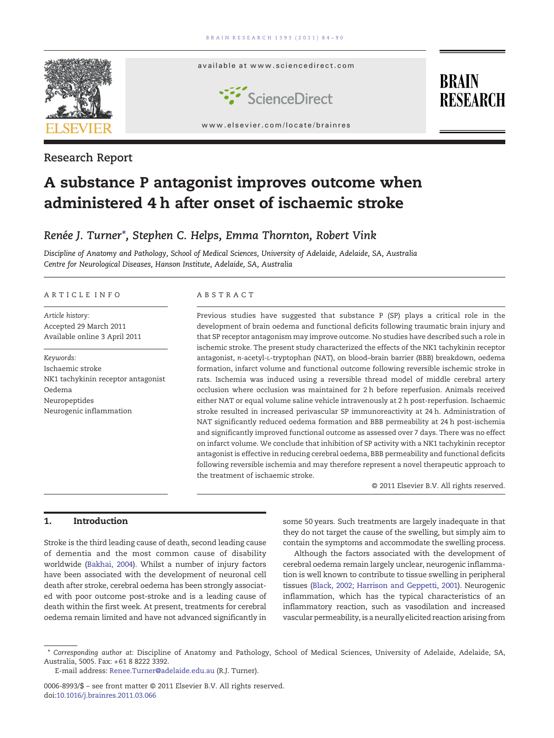

# Research Report

# A substance P antagonist improves outcome when administered 4 h after onset of ischaemic stroke

# Renée J. Turner<sup>\*</sup>, Stephen C. Helps, Emma Thornton, Robert Vink

Discipline of Anatomy and Pathology, School of Medical Sciences, University of Adelaide, Adelaide, SA, Australia Centre for Neurological Diseases, Hanson Institute, Adelaide, SA, Australia

## ARTICLE INFO ABSTRACT

Article history: Accepted 29 March 2011 Available online 3 April 2011

Keywords: Ischaemic stroke NK1 tachykinin receptor antagonist Oedema Neuropeptides Neurogenic inflammation

Previous studies have suggested that substance P (SP) plays a critical role in the development of brain oedema and functional deficits following traumatic brain injury and that SP receptor antagonism may improve outcome. No studies have described such a role in ischemic stroke. The present study characterized the effects of the NK1 tachykinin receptor antagonist, n-acetyl-L-tryptophan (NAT), on blood–brain barrier (BBB) breakdown, oedema formation, infarct volume and functional outcome following reversible ischemic stroke in rats. Ischemia was induced using a reversible thread model of middle cerebral artery occlusion where occlusion was maintained for 2 h before reperfusion. Animals received either NAT or equal volume saline vehicle intravenously at 2 h post-reperfusion. Ischaemic stroke resulted in increased perivascular SP immunoreactivity at 24 h. Administration of NAT significantly reduced oedema formation and BBB permeability at 24 h post-ischemia and significantly improved functional outcome as assessed over 7 days. There was no effect on infarct volume. We conclude that inhibition of SP activity with a NK1 tachykinin receptor antagonist is effective in reducing cerebral oedema, BBB permeability and functional deficits following reversible ischemia and may therefore represent a novel therapeutic approach to the treatment of ischaemic stroke.

© 2011 Elsevier B.V. All rights reserved.

# 1. Introduction

Stroke is the third leading cause of death, second leading cause of dementia and the most common cause of disability worldwide ([Bakhai, 2004\)](#page-5-0). Whilst a number of injury factors have been associated with the development of neuronal cell death after stroke, cerebral oedema has been strongly associated with poor outcome post-stroke and is a leading cause of death within the first week. At present, treatments for cerebral oedema remain limited and have not advanced significantly in

some 50 years. Such treatments are largely inadequate in that they do not target the cause of the swelling, but simply aim to contain the symptoms and accommodate the swelling process.

Although the factors associated with the development of cerebral oedema remain largely unclear, neurogenic inflammation is well known to contribute to tissue swelling in peripheral tissues [\(Black, 2002; Harrison and Geppetti, 2001](#page-5-0)). Neurogenic inflammation, which has the typical characteristics of an inflammatory reaction, such as vasodilation and increased vascular permeability, is a neurally elicited reaction arising from

<sup>⁎</sup> Corresponding author at: Discipline of Anatomy and Pathology, School of Medical Sciences, University of Adelaide, Adelaide, SA, Australia, 5005. Fax: +61 8 8222 3392.

E-mail address: [Renee.Turner@adelaide.edu.au](mailto:Renee.Turner@adelaide.edu.au) (R.J. Turner).

<sup>0006-8993/\$</sup> – see front matter © 2011 Elsevier B.V. All rights reserved. doi:[10.1016/j.brainres.2011.03.066](http://dx.doi.org/10.1016/j.brainres.2011.03.066)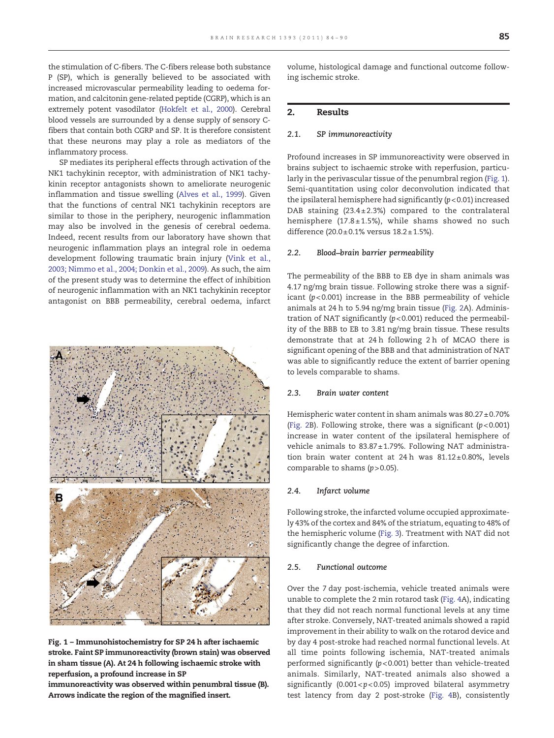the stimulation of C-fibers. The C-fibers release both substance P (SP), which is generally believed to be associated with increased microvascular permeability leading to oedema formation, and calcitonin gene-related peptide (CGRP), which is an extremely potent vasodilator [\(Hokfelt et al., 2000](#page-5-0)). Cerebral blood vessels are surrounded by a dense supply of sensory Cfibers that contain both CGRP and SP. It is therefore consistent that these neurons may play a role as mediators of the inflammatory process.

SP mediates its peripheral effects through activation of the NK1 tachykinin receptor, with administration of NK1 tachykinin receptor antagonists shown to ameliorate neurogenic inflammation and tissue swelling [\(Alves et al., 1999](#page-5-0)). Given that the functions of central NK1 tachykinin receptors are similar to those in the periphery, neurogenic inflammation may also be involved in the genesis of cerebral oedema. Indeed, recent results from our laboratory have shown that neurogenic inflammation plays an integral role in oedema development following traumatic brain injury [\(Vink et al.,](#page-6-0) [2003; Nimmo et al., 2004; Donkin et al., 2009](#page-6-0)). As such, the aim of the present study was to determine the effect of inhibition of neurogenic inflammation with an NK1 tachykinin receptor antagonist on BBB permeability, cerebral oedema, infarct



Fig. 1 – Immunohistochemistry for SP 24 h after ischaemic stroke. Faint SP immunoreactivity (brown stain) was observed in sham tissue (A). At 24 h following ischaemic stroke with reperfusion, a profound increase in SP

immunoreactivity was observed within penumbral tissue (B). Arrows indicate the region of the magnified insert.

volume, histological damage and functional outcome following ischemic stroke.

# 2. Results

# 2.1. SP immunoreactivity

Profound increases in SP immunoreactivity were observed in brains subject to ischaemic stroke with reperfusion, particularly in the perivascular tissue of the penumbral region (Fig. 1). Semi-quantitation using color deconvolution indicated that the ipsilateral hemisphere had significantly  $(p<0.01)$  increased DAB staining  $(23.4 \pm 2.3%)$  compared to the contralateral hemisphere (17.8 $\pm$ 1.5%), while shams showed no such difference  $(20.0 \pm 0.1\% \text{ versus } 18.2 \pm 1.5\%).$ 

## 2.2. Blood–brain barrier permeability

The permeability of the BBB to EB dye in sham animals was 4.17 ng/mg brain tissue. Following stroke there was a significant  $(p<0.001)$  increase in the BBB permeability of vehicle animals at 24 h to 5.94 ng/mg brain tissue [\(Fig. 2A](#page-2-0)). Administration of NAT significantly  $(p<0.001)$  reduced the permeability of the BBB to EB to 3.81 ng/mg brain tissue. These results demonstrate that at 24 h following 2 h of MCAO there is significant opening of the BBB and that administration of NAT was able to significantly reduce the extent of barrier opening to levels comparable to shams.

# 2.3. Brain water content

Hemispheric water content in sham animals was  $80.27 \pm 0.70\%$ [\(Fig. 2B](#page-2-0)). Following stroke, there was a significant  $(p<0.001)$ increase in water content of the ipsilateral hemisphere of vehicle animals to 83.87± 1.79%. Following NAT administration brain water content at 24 h was 81.12±0.80%, levels comparable to shams  $(p > 0.05)$ .

# 2.4. Infarct volume

Following stroke, the infarcted volume occupied approximately 43% of the cortex and 84% of the striatum, equating to 48% of the hemispheric volume [\(Fig. 3](#page-2-0)). Treatment with NAT did not significantly change the degree of infarction.

#### 2.5. Functional outcome

Over the 7 day post-ischemia, vehicle treated animals were unable to complete the 2 min rotarod task [\(Fig. 4](#page-3-0)A), indicating that they did not reach normal functional levels at any time after stroke. Conversely, NAT-treated animals showed a rapid improvement in their ability to walk on the rotarod device and by day 4 post-stroke had reached normal functional levels. At all time points following ischemia, NAT-treated animals performed significantly (p< 0.001) better than vehicle-treated animals. Similarly, NAT-treated animals also showed a significantly (0.001 <  $p$  < 0.05) improved bilateral asymmetry test latency from day 2 post-stroke [\(Fig. 4B](#page-3-0)), consistently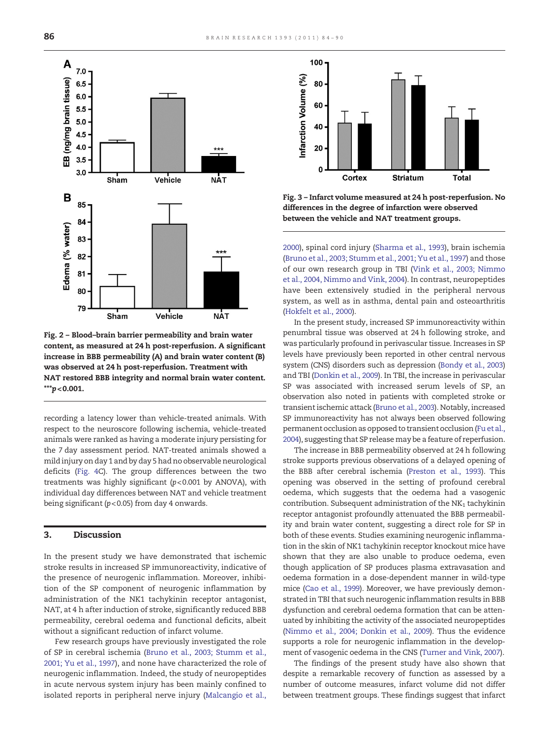<span id="page-2-0"></span>

Fig. 2 – Blood–brain barrier permeability and brain water content, as measured at 24 h post-reperfusion. A significant increase in BBB permeability (A) and brain water content (B) was observed at 24 h post-reperfusion. Treatment with NAT restored BBB integrity and normal brain water content.  $***p<sub>0.001</sub>$ .

recording a latency lower than vehicle-treated animals. With respect to the neuroscore following ischemia, vehicle-treated animals were ranked as having a moderate injury persisting for the 7 day assessment period. NAT-treated animals showed a mild injury on day 1 and by day 5 had no observable neurological deficits [\(Fig. 4C](#page-3-0)). The group differences between the two treatments was highly significant  $(p<0.001$  by ANOVA), with individual day differences between NAT and vehicle treatment being significant ( $p < 0.05$ ) from day 4 onwards.

# 3. Discussion

In the present study we have demonstrated that ischemic stroke results in increased SP immunoreactivity, indicative of the presence of neurogenic inflammation. Moreover, inhibition of the SP component of neurogenic inflammation by administration of the NK1 tachykinin receptor antagonist, NAT, at 4 h after induction of stroke, significantly reduced BBB permeability, cerebral oedema and functional deficits, albeit without a significant reduction of infarct volume.

Few research groups have previously investigated the role of SP in cerebral ischemia [\(Bruno et al., 2003; Stumm et al.,](#page-5-0) [2001; Yu et al., 1997\)](#page-5-0), and none have characterized the role of neurogenic inflammation. Indeed, the study of neuropeptides in acute nervous system injury has been mainly confined to isolated reports in peripheral nerve injury [\(Malcangio et al.,](#page-6-0)



Fig. 3 – Infarct volume measured at 24 h post-reperfusion. No differences in the degree of infarction were observed between the vehicle and NAT treatment groups.

[2000\)](#page-6-0), spinal cord injury ([Sharma et al., 1993](#page-6-0)), brain ischemia ([Bruno et al., 2003; Stumm et al., 2001; Yu et al., 1997](#page-5-0)) and those of our own research group in TBI [\(Vink et al., 2003; Nimmo](#page-6-0) [et al., 2004, Nimmo and Vink, 2004](#page-6-0)). In contrast, neuropeptides have been extensively studied in the peripheral nervous system, as well as in asthma, dental pain and osteoarthritis ([Hokfelt et al., 2000\)](#page-5-0).

In the present study, increased SP immunoreactivity within penumbral tissue was observed at 24 h following stroke, and was particularly profound in perivascular tissue. Increases in SP levels have previously been reported in other central nervous system (CNS) disorders such as depression ([Bondy et al., 2003\)](#page-5-0) and TBI ([Donkin et al., 2009\)](#page-5-0). In TBI, the increase in perivascular SP was associated with increased serum levels of SP, an observation also noted in patients with completed stroke or transient ischemic attack ([Bruno et al., 2003](#page-5-0)). Notably, increased SP immunoreactivity has not always been observed following permanent occlusion as opposed to transient occlusion [\(Fu et al.,](#page-5-0) [2004](#page-5-0)), suggesting that SP release may be a feature of reperfusion.

The increase in BBB permeability observed at 24 h following stroke supports previous observations of a delayed opening of the BBB after cerebral ischemia ([Preston et al., 1993\)](#page-6-0). This opening was observed in the setting of profound cerebral oedema, which suggests that the oedema had a vasogenic contribution. Subsequent administration of the  $NK<sub>1</sub>$  tachykinin receptor antagonist profoundly attenuated the BBB permeability and brain water content, suggesting a direct role for SP in both of these events. Studies examining neurogenic inflammation in the skin of NK1 tachykinin receptor knockout mice have shown that they are also unable to produce oedema, even though application of SP produces plasma extravasation and oedema formation in a dose-dependent manner in wild-type mice [\(Cao et al., 1999\)](#page-5-0). Moreover, we have previously demonstrated in TBI that such neurogenic inflammation results in BBB dysfunction and cerebral oedema formation that can be attenuated by inhibiting the activity of the associated neuropeptides ([Nimmo et al., 2004; Donkin et al., 2009](#page-6-0)). Thus the evidence supports a role for neurogenic inflammation in the development of vasogenic oedema in the CNS ([Turner and Vink, 2007\)](#page-6-0).

The findings of the present study have also shown that despite a remarkable recovery of function as assessed by a number of outcome measures, infarct volume did not differ between treatment groups. These findings suggest that infarct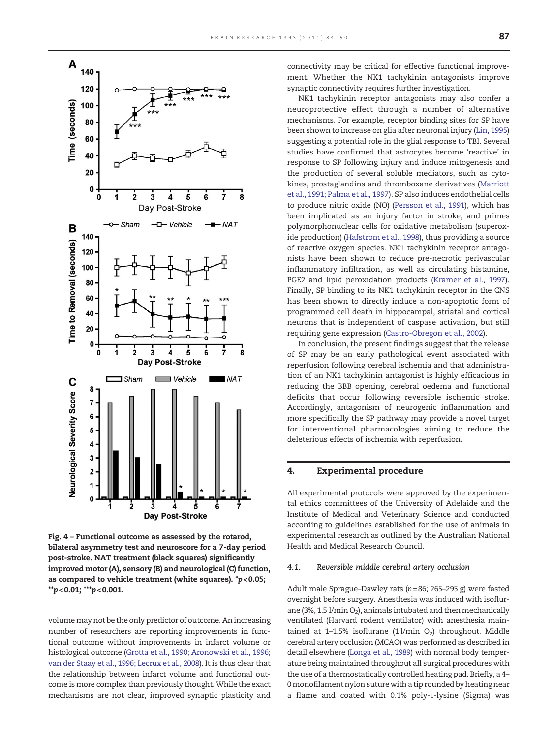<span id="page-3-0"></span>

Fig. 4 – Functional outcome as assessed by the rotarod, bilateral asymmetry test and neuroscore for a 7-day period post-stroke. NAT treatment (black squares) significantly improved motor (A), sensory (B) and neurological (C) function, as compared to vehicle treatment (white squares).  $p$  < 0.05;  $*p$  < 0.01;  $**p$  < 0.001.

volume may not be the only predictor of outcome. An increasing number of researchers are reporting improvements in functional outcome without improvements in infarct volume or histological outcome ([Grotta et al., 1990; Aronowski et al., 1996;](#page-5-0) [van der Staay et al., 1996; Lecrux et al., 2008](#page-5-0)). It is thus clear that the relationship between infarct volume and functional outcome is more complex than previously thought. While the exact mechanisms are not clear, improved synaptic plasticity and connectivity may be critical for effective functional improvement. Whether the NK1 tachykinin antagonists improve synaptic connectivity requires further investigation.

NK1 tachykinin receptor antagonists may also confer a neuroprotective effect through a number of alternative mechanisms. For example, receptor binding sites for SP have been shown to increase on glia after neuronal injury ([Lin, 1995](#page-5-0)) suggesting a potential role in the glial response to TBI. Several studies have confirmed that astrocytes become 'reactive' in response to SP following injury and induce mitogenesis and the production of several soluble mediators, such as cytokines, prostaglandins and thromboxane derivatives [\(Marriott](#page-6-0) [et al., 1991; Palma et al., 1997](#page-6-0)). SP also induces endothelial cells to produce nitric oxide (NO) [\(Persson et al., 1991\)](#page-6-0), which has been implicated as an injury factor in stroke, and primes polymorphonuclear cells for oxidative metabolism (superoxide production) [\(Hafstrom et al., 1998\)](#page-5-0), thus providing a source of reactive oxygen species. NK1 tachykinin receptor antagonists have been shown to reduce pre-necrotic perivascular inflammatory infiltration, as well as circulating histamine, PGE2 and lipid peroxidation products [\(Kramer et al., 1997](#page-5-0)). Finally, SP binding to its NK1 tachykinin receptor in the CNS has been shown to directly induce a non-apoptotic form of programmed cell death in hippocampal, striatal and cortical neurons that is independent of caspase activation, but still requiring gene expression ([Castro-Obregon et al., 2002](#page-5-0)).

In conclusion, the present findings suggest that the release of SP may be an early pathological event associated with reperfusion following cerebral ischemia and that administration of an NK1 tachykinin antagonist is highly efficacious in reducing the BBB opening, cerebral oedema and functional deficits that occur following reversible ischemic stroke. Accordingly, antagonism of neurogenic inflammation and more specifically the SP pathway may provide a novel target for interventional pharmacologies aiming to reduce the deleterious effects of ischemia with reperfusion.

# 4. Experimental procedure

All experimental protocols were approved by the experimental ethics committees of the University of Adelaide and the Institute of Medical and Veterinary Science and conducted according to guidelines established for the use of animals in experimental research as outlined by the Australian National Health and Medical Research Council.

#### 4.1. Reversible middle cerebral artery occlusion

Adult male Sprague–Dawley rats (n=86; 265–295 g) were fasted overnight before surgery. Anesthesia was induced with isoflurane (3%, 1.5  $1/m$ in O<sub>2</sub>), animals intubated and then mechanically ventilated (Harvard rodent ventilator) with anesthesia maintained at 1-1.5% isoflurane (1 $1/m$ in O<sub>2</sub>) throughout. Middle cerebral artery occlusion (MCAO) was performed as described in detail elsewhere [\(Longa et al., 1989\)](#page-6-0) with normal body temperature being maintained throughout all surgical procedures with the use of a thermostatically controlled heating pad. Briefly, a 4– 0monofilament nylon suture with a tip rounded by heating near a flame and coated with 0.1% poly-L-lysine (Sigma) was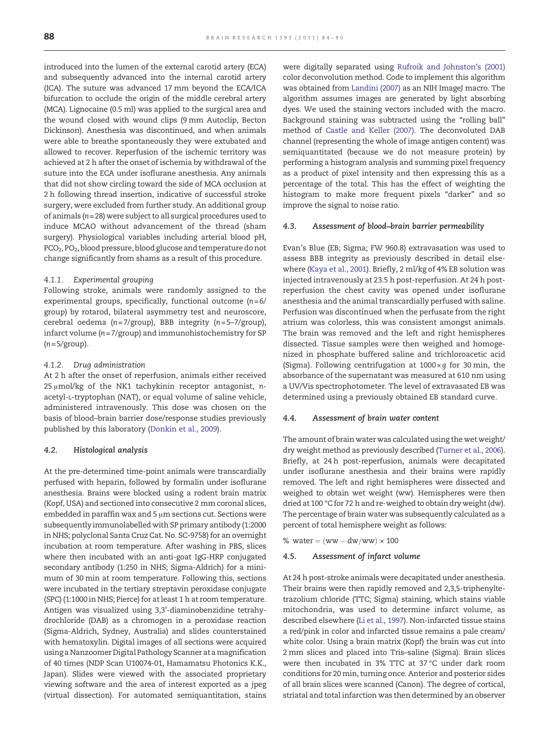introduced into the lumen of the external carotid artery (ECA) and subsequently advanced into the internal carotid artery (ICA). The suture was advanced 17 mm beyond the ECA/ICA bifurcation to occlude the origin of the middle cerebral artery (MCA). Lignocaine (0.5 ml) was applied to the surgical area and the wound closed with wound clips (9 mm Autoclip, Becton Dickinson). Anesthesia was discontinued, and when animals were able to breathe spontaneously they were extubated and allowed to recover. Reperfusion of the ischemic territory was achieved at 2 h after the onset of ischemia by withdrawal of the suture into the ECA under isoflurane anesthesia. Any animals that did not show circling toward the side of MCA occlusion at 2 h following thread insertion, indicative of successful stroke surgery, were excluded from further study. An additional group of animals  $(n= 28)$  were subject to all surgical procedures used to induce MCAO without advancement of the thread (sham surgery). Physiological variables including arterial blood pH, PCO<sub>2</sub>, PO<sub>2</sub>, blood pressure, blood glucose and temperature do not change significantly from shams as a result of this procedure.

# 4.1.1. Experimental grouping

Following stroke, animals were randomly assigned to the experimental groups, specifically, functional outcome  $(n=6/$ group) by rotarod, bilateral asymmetry test and neuroscore, cerebral oedema ( $n = 7$ /group), BBB integrity ( $n = 5-7$ /group), infarct volume (n= 7/group) and immunohistochemistry for SP  $(n = 5/$ group).

# 4.1.2. Drug administration

At 2 h after the onset of reperfusion, animals either received 25 μmol/kg of the NK1 tachykinin receptor antagonist, nacetyl-L-tryptophan (NAT), or equal volume of saline vehicle, administered intravenously. This dose was chosen on the basis of blood–brain barrier dose/response studies previously published by this laboratory ([Donkin et al., 2009](#page-5-0)).

# 4.2. Histological analysis

At the pre-determined time-point animals were transcardially perfused with heparin, followed by formalin under isoflurane anesthesia. Brains were blocked using a rodent brain matrix (Kopf, USA) and sectioned into consecutive 2 mm coronal slices, embedded in paraffin wax and 5 μm sections cut. Sections were subsequently immunolabelled with SP primary antibody (1:2000 in NHS; polyclonal Santa Cruz Cat. No. SC-9758) for an overnight incubation at room temperature. After washing in PBS, slices where then incubated with an anti-goat IgG-HRP conjugated secondary antibody (1:250 in NHS; Sigma-Aldrich) for a minimum of 30 min at room temperature. Following this, sections were incubated in the tertiary streptavin peroxidase conjugate (SPC) (1:1000 in NHS; Pierce) for at least 1 h at room temperature. Antigen was visualized using 3,3'-diaminobenzidine tetrahydrochloride (DAB) as a chromogen in a peroxidase reaction (Sigma-Aldrich, Sydney, Australia) and slides counterstained with hematoxylin. Digital images of all sections were acquired using a Nanzoomer Digital Pathology Scanner at amagnification of 40 times (NDP Scan U10074-01, Hamamatsu Photonics K.K., Japan). Slides were viewed with the associated proprietary viewing software and the area of interest exported as a jpeg (virtual dissection). For automated semiquantitation, stains

were digitally separated using [Rufroik and Johnston's \(2001\)](#page-6-0) color deconvolution method. Code to implement this algorithm was obtained from [Landini \(2007\)](#page-5-0) as an NIH ImageJ macro. The algorithm assumes images are generated by light absorbing dyes. We used the staining vectors included with the macro. Background staining was subtracted using the "rolling ball" method of [Castle and Keller \(2007\)](#page-5-0). The deconvoluted DAB channel (representing the whole of image antigen content) was semiquantitated (because we do not measure protein) by performing a histogram analysis and summing pixel frequency as a product of pixel intensity and then expressing this as a percentage of the total. This has the effect of weighting the histogram to make more frequent pixels "darker" and so improve the signal to noise ratio.

# 4.3. Assessment of blood–brain barrier permeability

Evan's Blue (EB; Sigma; FW 960.8) extravasation was used to assess BBB integrity as previously described in detail elsewhere ([Kaya et al., 2001](#page-5-0)). Briefly, 2 ml/kg of 4% EB solution was injected intravenously at 23.5 h post-reperfusion. At 24 h postreperfusion the chest cavity was opened under isoflurane anesthesia and the animal transcardially perfused with saline. Perfusion was discontinued when the perfusate from the right atrium was colorless, this was consistent amongst animals. The brain was removed and the left and right hemispheres dissected. Tissue samples were then weighed and homogenized in phosphate buffered saline and trichloroacetic acid (Sigma). Following centrifugation at  $1000 \times g$  for 30 min, the absorbance of the supernatant was measured at 610 nm using a UV/Vis spectrophotometer. The level of extravasated EB was determined using a previously obtained EB standard curve.

# 4.4. Assessment of brain water content

The amount of brain water was calculated using the wet weight/ dry weight method as previously described [\(Turner et al., 2006\)](#page-6-0). Briefly, at 24 h post-reperfusion, animals were decapitated under isoflurane anesthesia and their brains were rapidly removed. The left and right hemispheres were dissected and weighed to obtain wet weight (ww). Hemispheres were then dried at 100 °C for 72 h and re-weighed to obtain dry weight (dw). The percentage of brain water was subsequently calculated as a percent of total hemisphere weight as follows:

% water  $= (ww-dw/ww) \times 100$ 

#### 4.5. Assessment of infarct volume

At 24 h post-stroke animals were decapitated under anesthesia. Their brains were then rapidly removed and 2,3,5-triphenyltetrazolium chloride (TTC; Sigma) staining, which stains viable mitochondria, was used to determine infarct volume, as described elsewhere ([Li et al., 1997](#page-5-0)). Non-infarcted tissue stains a red/pink in color and infarcted tissue remains a pale cream/ white color. Using a brain matrix (Kopf) the brain was cut into 2 mm slices and placed into Tris–saline (Sigma). Brain slices were then incubated in 3% TTC at 37 °C under dark room conditions for 20 min, turning once. Anterior and posterior sides of all brain slices were scanned (Canon). The degree of cortical, striatal and total infarction was then determined by an observer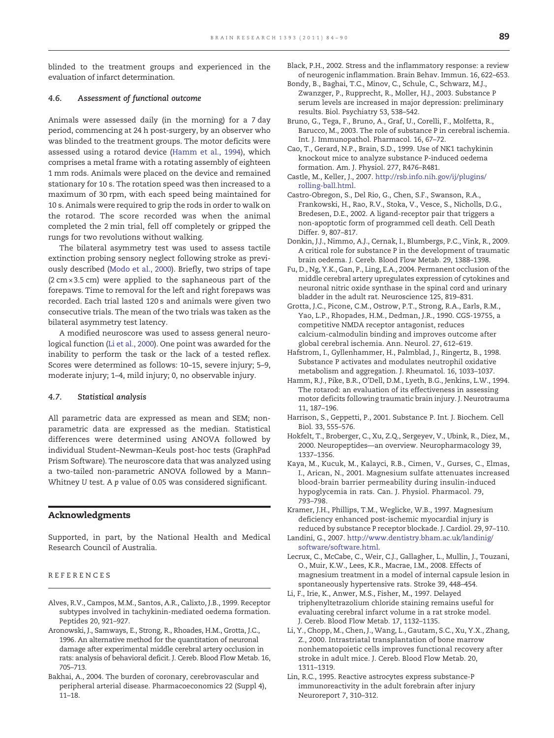<span id="page-5-0"></span>blinded to the treatment groups and experienced in the evaluation of infarct determination.

# 4.6. Assessment of functional outcome

Animals were assessed daily (in the morning) for a 7 day period, commencing at 24 h post-surgery, by an observer who was blinded to the treatment groups. The motor deficits were assessed using a rotarod device (Hamm et al., 1994), which comprises a metal frame with a rotating assembly of eighteen 1 mm rods. Animals were placed on the device and remained stationary for 10 s. The rotation speed was then increased to a maximum of 30 rpm, with each speed being maintained for 10 s. Animals were required to grip the rods in order to walk on the rotarod. The score recorded was when the animal completed the 2 min trial, fell off completely or gripped the rungs for two revolutions without walking.

The bilateral asymmetry test was used to assess tactile extinction probing sensory neglect following stroke as previously described ([Modo et al., 2000](#page-6-0)). Briefly, two strips of tape  $(2 \text{ cm} \times 3.5 \text{ cm})$  were applied to the saphaneous part of the forepaws. Time to removal for the left and right forepaws was recorded. Each trial lasted 120 s and animals were given two consecutive trials. The mean of the two trials was taken as the bilateral asymmetry test latency.

A modified neuroscore was used to assess general neurological function (Li et al., 2000). One point was awarded for the inability to perform the task or the lack of a tested reflex. Scores were determined as follows: 10–15, severe injury; 5–9, moderate injury; 1–4, mild injury; 0, no observable injury.

# 4.7. Statistical analysis

All parametric data are expressed as mean and SEM; nonparametric data are expressed as the median. Statistical differences were determined using ANOVA followed by individual Student–Newman–Keuls post-hoc tests (GraphPad Prism Software). The neuroscore data that was analyzed using a two-tailed non-parametric ANOVA followed by a Mann– Whitney U test. A p value of 0.05 was considered significant.

# Acknowledgments

Supported, in part, by the National Health and Medical Research Council of Australia.

# REFERENCES

- Alves, R.V., Campos, M.M., Santos, A.R., Calixto, J.B., 1999. Receptor subtypes involved in tachykinin-mediated oedema formation. Peptides 20, 921–927.
- Aronowski, J., Samways, E., Strong, R., Rhoades, H.M., Grotta, J.C., 1996. An alternative method for the quantitation of neuronal damage after experimental middle cerebral artery occlusion in rats: analysis of behavioral deficit. J. Cereb. Blood Flow Metab. 16, 705–713.
- Bakhai, A., 2004. The burden of coronary, cerebrovascular and peripheral arterial disease. Pharmacoeconomics 22 (Suppl 4), 11–18.
- Black, P.H., 2002. Stress and the inflammatory response: a review of neurogenic inflammation. Brain Behav. Immun. 16, 622–653.
- Bondy, B., Baghai, T.C., Minov, C., Schule, C., Schwarz, M.J., Zwanzger, P., Rupprecht, R., Moller, H.J., 2003. Substance P serum levels are increased in major depression: preliminary results. Biol. Psychiatry 53, 538–542.
- Bruno, G., Tega, F., Bruno, A., Graf, U., Corelli, F., Molfetta, R., Barucco, M., 2003. The role of substance P in cerebral ischemia. Int. J. Immunopathol. Pharmacol. 16, 67–72.
- Cao, T., Gerard, N.P., Brain, S.D., 1999. Use of NK1 tachykinin knockout mice to analyze substance P-induced oedema formation. Am. J. Physiol. 277, R476–R481.
- Castle, M., Keller, J., 2007. [http://rsb.info.nih.gov/ij/plugins/](http://rsb.info.nih.gov/ij/plugins/rolling-ball.html) [rolling-ball.html.](http://rsb.info.nih.gov/ij/plugins/rolling-ball.html)
- Castro-Obregon, S., Del Rio, G., Chen, S.F., Swanson, R.A., Frankowski, H., Rao, R.V., Stoka, V., Vesce, S., Nicholls, D.G., Bredesen, D.E., 2002. A ligand-receptor pair that triggers a non-apoptotic form of programmed cell death. Cell Death Differ. 9, 807–817.
- Donkin, J.J., Nimmo, A.J., Cernak, I., Blumbergs, P.C., Vink, R., 2009. A critical role for substance P in the development of traumatic brain oedema. J. Cereb. Blood Flow Metab. 29, 1388–1398.
- Fu, D., Ng, Y.K., Gan, P., Ling, E.A., 2004. Permanent occlusion of the middle cerebral artery upregulates expression of cytokines and neuronal nitric oxide synthase in the spinal cord and urinary bladder in the adult rat. Neuroscience 125, 819–831.
- Grotta, J.C., Picone, C.M., Ostrow, P.T., Strong, R.A., Earls, R.M., Yao, L.P., Rhopades, H.M., Dedman, J.R., 1990. CGS-19755, a competitive NMDA receptor antagonist, reduces calcium-calmodulin binding and improves outcome after global cerebral ischemia. Ann. Neurol. 27, 612–619.
- Hafstrom, I., Gyllenhammer, H., Palmblad, J., Ringertz, B., 1998. Substance P activates and modulates neutrophil oxidative metabolism and aggregation. J. Rheumatol. 16, 1033–1037.
- Hamm, R.J., Pike, B.R., O'Dell, D.M., Lyeth, B.G., Jenkins, L.W., 1994. The rotarod: an evaluation of its effectiveness in assessing motor deficits following traumatic brain injury. J. Neurotrauma 11, 187–196.
- Harrison, S., Geppetti, P., 2001. Substance P. Int. J. Biochem. Cell Biol. 33, 555–576.
- Hokfelt, T., Broberger, C., Xu, Z.Q., Sergeyev, V., Ubink, R., Diez, M., 2000. Neuropeptides—an overview. Neuropharmacology 39, 1337–1356.
- Kaya, M., Kucuk, M., Kalayci, R.B., Cimen, V., Gurses, C., Elmas, I., Arican, N., 2001. Magnesium sulfate attenuates increased blood-brain barrier permeability during insulin-induced hypoglycemia in rats. Can. J. Physiol. Pharmacol. 79, 793–798.
- Kramer, J.H., Phillips, T.M., Weglicke, W.B., 1997. Magnesium deficiency enhanced post-ischemic myocardial injury is reduced by substance P receptor blockade. J. Cardiol. 29, 97–110.
- Landini, G., 2007. [http://www.dentistry.bham.ac.uk/landinig/](http://www.dentistry.bham.ac.uk/landinig/software/software.html) [software/software.html.](http://www.dentistry.bham.ac.uk/landinig/software/software.html)
- Lecrux, C., McCabe, C., Weir, C.J., Gallagher, L., Mullin, J., Touzani, O., Muir, K.W., Lees, K.R., Macrae, I.M., 2008. Effects of magnesium treatment in a model of internal capsule lesion in spontaneously hypertensive rats. Stroke 39, 448–454.
- Li, F., Irie, K., Anwer, M.S., Fisher, M., 1997. Delayed triphenyltetrazolium chloride staining remains useful for evaluating cerebral infarct volume in a rat stroke model. J. Cereb. Blood Flow Metab. 17, 1132–1135.
- Li, Y., Chopp, M., Chen, J., Wang, L., Gautam, S.C., Xu, Y.X., Zhang, Z., 2000. Intrastriatal transplantation of bone marrow nonhematopoietic cells improves functional recovery after stroke in adult mice. J. Cereb. Blood Flow Metab. 20, 1311–1319.
- Lin, R.C., 1995. Reactive astrocytes express substance-P immunoreactivity in the adult forebrain after injury Neuroreport 7, 310–312.